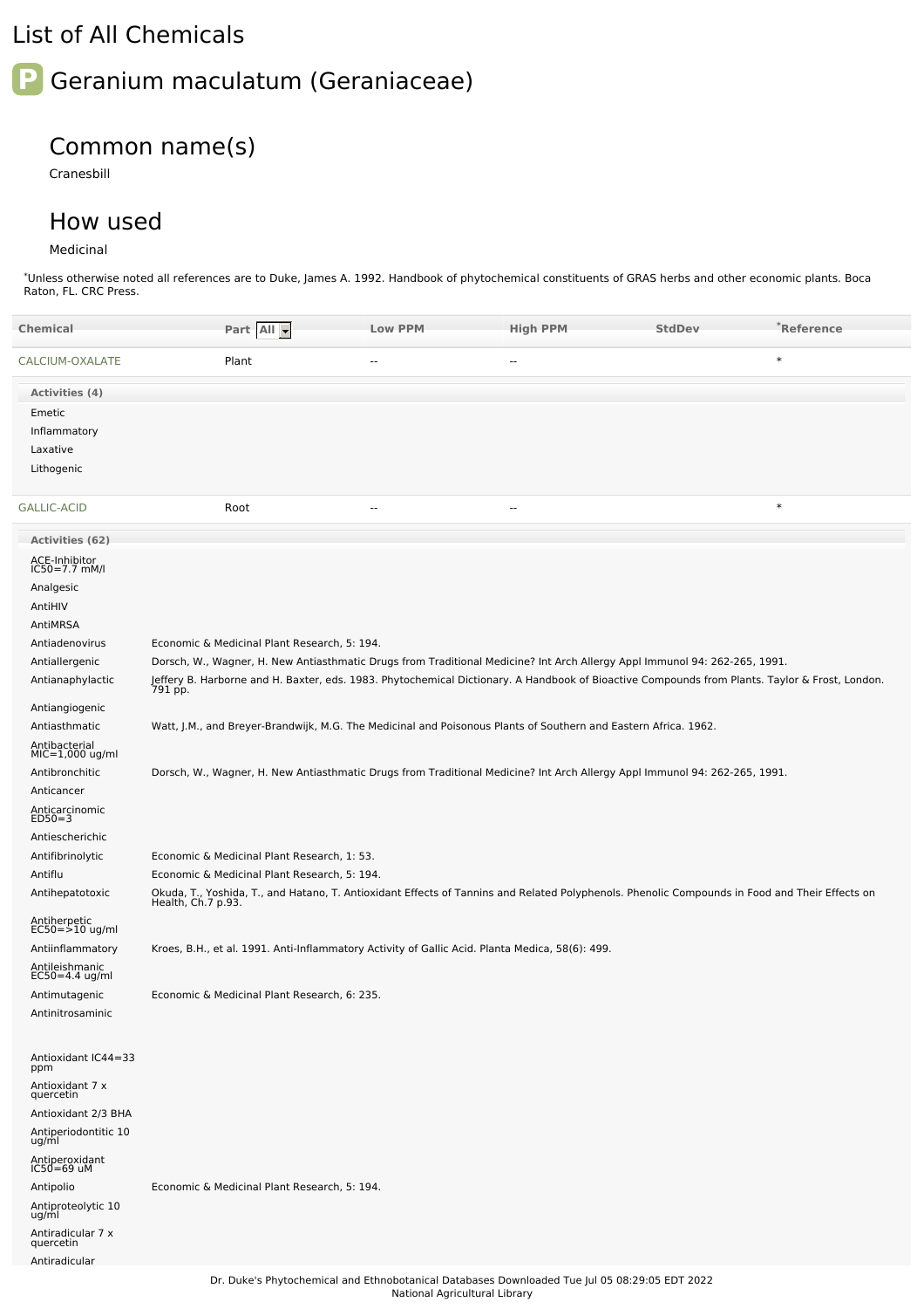# List of All Chemicals

## **P** Geranium maculatum (Geraniaceae)

### Common name(s)

Cranesbill

#### How used

#### Medicinal

\*Unless otherwise noted all references are to Duke, James A. 1992. Handbook of phytochemical constituents of GRAS herbs and other economic plants. Boca Raton, FL. CRC Press.

| <b>Chemical</b>                    | Part All -                                                                                                                                                           | <b>Low PPM</b> | <b>High PPM</b> | <b>StdDev</b> | *Reference |  |  |  |
|------------------------------------|----------------------------------------------------------------------------------------------------------------------------------------------------------------------|----------------|-----------------|---------------|------------|--|--|--|
| CALCIUM-OXALATE                    | Plant                                                                                                                                                                | $-$            | $\overline{a}$  |               | $\ast$     |  |  |  |
| Activities (4)                     |                                                                                                                                                                      |                |                 |               |            |  |  |  |
| Emetic                             |                                                                                                                                                                      |                |                 |               |            |  |  |  |
| Inflammatory                       |                                                                                                                                                                      |                |                 |               |            |  |  |  |
| Laxative                           |                                                                                                                                                                      |                |                 |               |            |  |  |  |
| Lithogenic                         |                                                                                                                                                                      |                |                 |               |            |  |  |  |
| <b>GALLIC-ACID</b>                 | Root                                                                                                                                                                 | $\sim$         | $-$             |               | $\ast$     |  |  |  |
| <b>Activities (62)</b>             |                                                                                                                                                                      |                |                 |               |            |  |  |  |
| ACE-Inhibitor<br>IC50=7.7 mM/l     |                                                                                                                                                                      |                |                 |               |            |  |  |  |
| Analgesic                          |                                                                                                                                                                      |                |                 |               |            |  |  |  |
| AntiHIV                            |                                                                                                                                                                      |                |                 |               |            |  |  |  |
| AntiMRSA                           |                                                                                                                                                                      |                |                 |               |            |  |  |  |
| Antiadenovirus                     | Economic & Medicinal Plant Research, 5: 194.                                                                                                                         |                |                 |               |            |  |  |  |
| Antiallergenic                     | Dorsch, W., Wagner, H. New Antiasthmatic Drugs from Traditional Medicine? Int Arch Allergy Appl Immunol 94: 262-265, 1991.                                           |                |                 |               |            |  |  |  |
| Antianaphylactic                   | Jeffery B. Harborne and H. Baxter, eds. 1983. Phytochemical Dictionary. A Handbook of Bioactive Compounds from Plants. Taylor & Frost, London.<br>791 pp.            |                |                 |               |            |  |  |  |
| Antiangiogenic                     |                                                                                                                                                                      |                |                 |               |            |  |  |  |
| Antiasthmatic                      | Watt, J.M., and Breyer-Brandwijk, M.G. The Medicinal and Poisonous Plants of Southern and Eastern Africa. 1962.                                                      |                |                 |               |            |  |  |  |
| Antibacterial<br>$MIC=1,000$ ug/ml |                                                                                                                                                                      |                |                 |               |            |  |  |  |
| Antibronchitic                     | Dorsch, W., Wagner, H. New Antiasthmatic Drugs from Traditional Medicine? Int Arch Allergy Appl Immunol 94: 262-265, 1991.                                           |                |                 |               |            |  |  |  |
| Anticancer                         |                                                                                                                                                                      |                |                 |               |            |  |  |  |
| Anticarcinomic<br>$ED50=3$         |                                                                                                                                                                      |                |                 |               |            |  |  |  |
| Antiescherichic                    |                                                                                                                                                                      |                |                 |               |            |  |  |  |
| Antifibrinolytic                   | Economic & Medicinal Plant Research, 1: 53.                                                                                                                          |                |                 |               |            |  |  |  |
| Antiflu                            | Economic & Medicinal Plant Research, 5: 194.                                                                                                                         |                |                 |               |            |  |  |  |
| Antihepatotoxic                    | Okuda, T., Yoshida, T., and Hatano, T. Antioxidant Effects of Tannins and Related Polyphenols. Phenolic Compounds in Food and Their Effects on<br>Health, Ch.7 p.93. |                |                 |               |            |  |  |  |
| Antiherpetic<br>EC50=>10 ug/ml     |                                                                                                                                                                      |                |                 |               |            |  |  |  |
| Antiinflammatory                   | Kroes, B.H., et al. 1991. Anti-Inflammatory Activity of Gallic Acid. Planta Medica, 58(6): 499.                                                                      |                |                 |               |            |  |  |  |
| Antileishmanic<br>$EC50=4.4$ ug/ml |                                                                                                                                                                      |                |                 |               |            |  |  |  |
| Antimutagenic                      | Economic & Medicinal Plant Research, 6: 235.                                                                                                                         |                |                 |               |            |  |  |  |
| Antinitrosaminic                   |                                                                                                                                                                      |                |                 |               |            |  |  |  |
| Antioxidant IC44=33<br>ppm         |                                                                                                                                                                      |                |                 |               |            |  |  |  |
| Antioxidant 7 x<br>quercetin       |                                                                                                                                                                      |                |                 |               |            |  |  |  |
| Antioxidant 2/3 BHA                |                                                                                                                                                                      |                |                 |               |            |  |  |  |
| Antiperiodontitic 10<br>ug/ml      |                                                                                                                                                                      |                |                 |               |            |  |  |  |
| Antiperoxidant<br>IC50=69 uM       |                                                                                                                                                                      |                |                 |               |            |  |  |  |
| Antipolio                          | Economic & Medicinal Plant Research, 5: 194.                                                                                                                         |                |                 |               |            |  |  |  |
| Antiproteolytic 10<br>ug/ml        |                                                                                                                                                                      |                |                 |               |            |  |  |  |
| Antiradicular 7 x<br>quercetin     |                                                                                                                                                                      |                |                 |               |            |  |  |  |
| Antiradicular                      |                                                                                                                                                                      |                |                 |               |            |  |  |  |
|                                    | Dr. Duke's Phytochemical and Ethnobotanical Databases Downloaded Tue Jul 05 08:29:05 EDT 2022                                                                        |                |                 |               |            |  |  |  |

National Agricultural Library